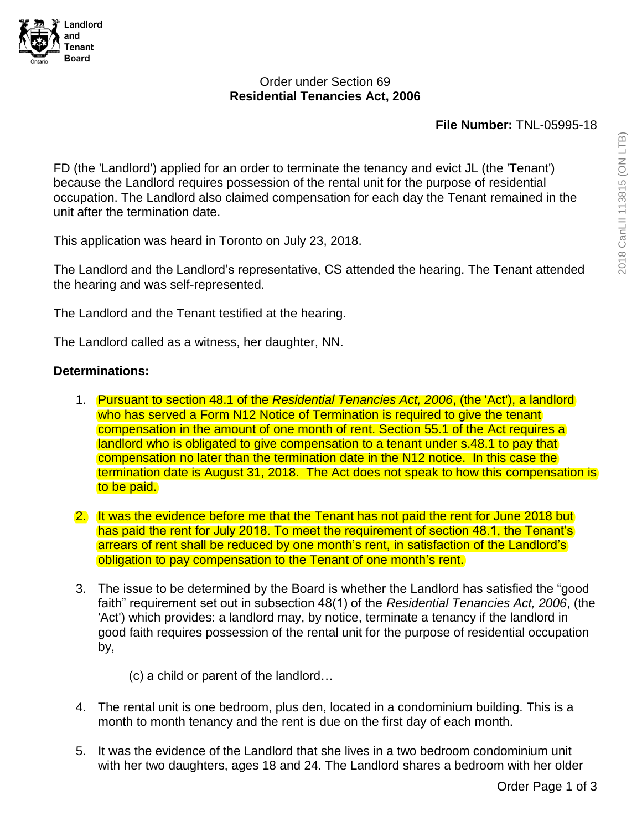

### Order under Section 69 **Residential Tenancies Act, 2006**

#### **File Number:** TNL-05995-18

FD (the 'Landlord') applied for an order to terminate the tenancy and evict JL (the 'Tenant') because the Landlord requires possession of the rental unit for the purpose of residential occupation. The Landlord also claimed compensation for each day the Tenant remained in the unit after the termination date.

This application was heard in Toronto on July 23, 2018.

The Landlord and the Landlord's representative, CS attended the hearing. The Tenant attended the hearing and was self-represented.

The Landlord and the Tenant testified at the hearing.

The Landlord called as a witness, her daughter, NN.

### **Determinations:**

- 1. Pursuant to section 48.1 of the *Residential Tenancies Act, 2006*, (the 'Act'), a landlord who has served a Form N12 Notice of Termination is required to give the tenant compensation in the amount of one month of rent. Section 55.1 of the Act requires a landlord who is obligated to give compensation to a tenant under s.48.1 to pay that compensation no later than the termination date in the N12 notice. In this case the termination date is August 31, 2018. The Act does not speak to how this compensation is to be paid.
- 2. It was the evidence before me that the Tenant has not paid the rent for June 2018 but has paid the rent for July 2018. To meet the requirement of section 48.1, the Tenant's arrears of rent shall be reduced by one month's rent, in satisfaction of the Landlord's obligation to pay compensation to the Tenant of one month's rent.
- 3. The issue to be determined by the Board is whether the Landlord has satisfied the "good faith" requirement set out in subsection 48(1) of the *Residential Tenancies Act, 2006*, (the 'Act') which provides: a landlord may, by notice, terminate a tenancy if the landlord in good faith requires possession of the rental unit for the purpose of residential occupation by,
	- (c) a child or parent of the landlord…
- 4. The rental unit is one bedroom, plus den, located in a condominium building. This is a month to month tenancy and the rent is due on the first day of each month.
- 5. It was the evidence of the Landlord that she lives in a two bedroom condominium unit with her two daughters, ages 18 and 24. The Landlord shares a bedroom with her older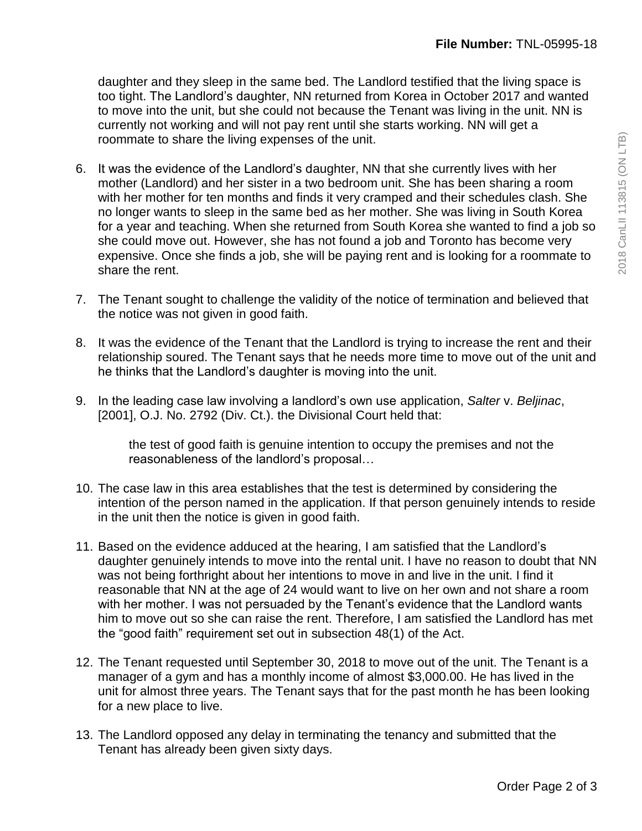daughter and they sleep in the same bed. The Landlord testified that the living space is too tight. The Landlord's daughter, NN returned from Korea in October 2017 and wanted to move into the unit, but she could not because the Tenant was living in the unit. NN is currently not working and will not pay rent until she starts working. NN will get a roommate to share the living expenses of the unit.

- 6. It was the evidence of the Landlord's daughter, NN that she currently lives with her mother (Landlord) and her sister in a two bedroom unit. She has been sharing a room with her mother for ten months and finds it very cramped and their schedules clash. She no longer wants to sleep in the same bed as her mother. She was living in South Korea for a year and teaching. When she returned from South Korea she wanted to find a job so she could move out. However, she has not found a job and Toronto has become very expensive. Once she finds a job, she will be paying rent and is looking for a roommate to share the rent.
- 7. The Tenant sought to challenge the validity of the notice of termination and believed that the notice was not given in good faith.
- 8. It was the evidence of the Tenant that the Landlord is trying to increase the rent and their relationship soured. The Tenant says that he needs more time to move out of the unit and he thinks that the Landlord's daughter is moving into the unit.
- 9. In the leading case law involving a landlord's own use application, *Salter* v. *Beljinac*, [2001], O.J. No. 2792 (Div. Ct.). the Divisional Court held that:

the test of good faith is genuine intention to occupy the premises and not the reasonableness of the landlord's proposal…

- 10. The case law in this area establishes that the test is determined by considering the intention of the person named in the application. If that person genuinely intends to reside in the unit then the notice is given in good faith.
- 11. Based on the evidence adduced at the hearing, I am satisfied that the Landlord's daughter genuinely intends to move into the rental unit. I have no reason to doubt that NN was not being forthright about her intentions to move in and live in the unit. I find it reasonable that NN at the age of 24 would want to live on her own and not share a room with her mother. I was not persuaded by the Tenant's evidence that the Landlord wants him to move out so she can raise the rent. Therefore, I am satisfied the Landlord has met the "good faith" requirement set out in subsection 48(1) of the Act.
- 12. The Tenant requested until September 30, 2018 to move out of the unit. The Tenant is a manager of a gym and has a monthly income of almost \$3,000.00. He has lived in the unit for almost three years. The Tenant says that for the past month he has been looking for a new place to live.
- 13. The Landlord opposed any delay in terminating the tenancy and submitted that the Tenant has already been given sixty days.